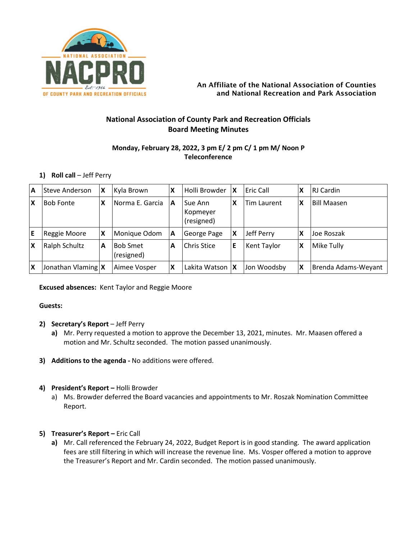

## An Affiliate of the National Association of Counties and National Recreation and Park Association

# **National Association of County Park and Recreation Officials Board Meeting Minutes**

## **Monday, February 28, 2022, 3 pm E/ 2 pm C/ 1 pm M/ Noon P Teleconference**

## **1) Roll call** – Jeff Perry

| ΙA | Steve Anderson     | X | Kyla Brown                    | $\boldsymbol{\mathsf{x}}$ | Holli Browder                     | X | Eric Call          | X | <b>RJ</b> Cardin    |
|----|--------------------|---|-------------------------------|---------------------------|-----------------------------------|---|--------------------|---|---------------------|
| ١x | <b>Bob Fonte</b>   | X | INorma E. Garcia              | ΙA                        | Sue Ann<br>Kopmeyer<br>(resigned) | x | <b>Tim Laurent</b> | x | <b>Bill Maasen</b>  |
| ١E | Reggie Moore       | X | Monique Odom                  | $\mathbf{A}$              | George Page                       | Χ | Jeff Perry         | Χ | Joe Roszak          |
| ΙX | Ralph Schultz      | А | <b>Bob Smet</b><br>(resigned) | A                         | Chris Stice                       | E | <b>Kent Taylor</b> | X | Mike Tully          |
| ΙX | Jonathan Vlaming X |   | Aimee Vosper                  | $\boldsymbol{\mathsf{x}}$ | Lakita Watson   X                 |   | Jon Woodsby        | X | Brenda Adams-Weyant |

## **Excused absences:** Kent Taylor and Reggie Moore

## **Guests:**

- **2) Secretary's Report** Jeff Perry
	- **a)** Mr. Perry requested a motion to approve the December 13, 2021, minutes. Mr. Maasen offered a motion and Mr. Schultz seconded. The motion passed unanimously.
- **3) Additions to the agenda -** No additions were offered.

## **4) President's Report –** Holli Browder

a) Ms. Browder deferred the Board vacancies and appointments to Mr. Roszak Nomination Committee Report.

## **5) Treasurer's Report –** Eric Call

**a)** Mr. Call referenced the February 24, 2022, Budget Report is in good standing. The award application fees are still filtering in which will increase the revenue line. Ms. Vosper offered a motion to approve the Treasurer's Report and Mr. Cardin seconded. The motion passed unanimously.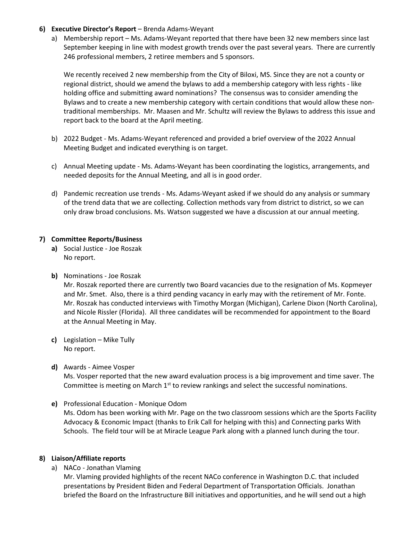## **6) Executive Director's Report** – Brenda Adams-Weyant

a) Membership report – Ms. Adams-Weyant reported that there have been 32 new members since last September keeping in line with modest growth trends over the past several years. There are currently 246 professional members, 2 retiree members and 5 sponsors.

We recently received 2 new membership from the City of Biloxi, MS. Since they are not a county or regional district, should we amend the bylaws to add a membership category with less rights - like holding office and submitting award nominations? The consensus was to consider amending the Bylaws and to create a new membership category with certain conditions that would allow these nontraditional memberships. Mr. Maasen and Mr. Schultz will review the Bylaws to address this issue and report back to the board at the April meeting.

- b) 2022 Budget Ms. Adams-Weyant referenced and provided a brief overview of the 2022 Annual Meeting Budget and indicated everything is on target.
- c) Annual Meeting update Ms. Adams-Weyant has been coordinating the logistics, arrangements, and needed deposits for the Annual Meeting, and all is in good order.
- d) Pandemic recreation use trends Ms. Adams-Weyant asked if we should do any analysis or summary of the trend data that we are collecting. Collection methods vary from district to district, so we can only draw broad conclusions. Ms. Watson suggested we have a discussion at our annual meeting.

## **7) Committee Reports/Business**

- **a)** Social Justice Joe Roszak No report.
- **b)** Nominations Joe Roszak Mr. Roszak reported there are currently two Board vacancies due to the resignation of Ms. Kopmeyer and Mr. Smet. Also, there is a third pending vacancy in early may with the retirement of Mr. Fonte. Mr. Roszak has conducted interviews with Timothy Morgan (Michigan), Carlene Dixon (North Carolina), and Nicole Rissler (Florida). All three candidates will be recommended for appointment to the Board at the Annual Meeting in May.
- **c)** Legislation Mike Tully No report.
- **d)** Awards Aimee Vosper

Ms. Vosper reported that the new award evaluation process is a big improvement and time saver. The Committee is meeting on March  $1<sup>st</sup>$  to review rankings and select the successful nominations.

**e)** Professional Education - Monique Odom

Ms. Odom has been working with Mr. Page on the two classroom sessions which are the Sports Facility Advocacy & Economic Impact (thanks to Erik Call for helping with this) and Connecting parks With Schools. The field tour will be at Miracle League Park along with a planned lunch during the tour.

## **8) Liaison/Affiliate reports**

a) NACo - Jonathan Vlaming

Mr. Vlaming provided highlights of the recent NACo conference in Washington D.C. that included presentations by President Biden and Federal Department of Transportation Officials. Jonathan briefed the Board on the Infrastructure Bill initiatives and opportunities, and he will send out a high